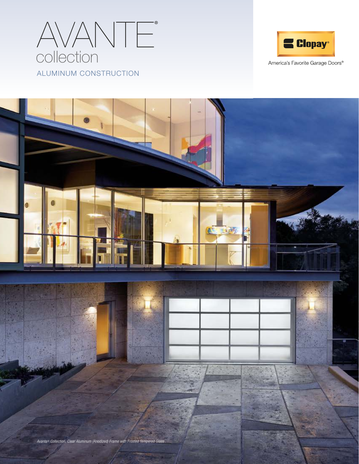



America's Favorite Garage Doors®

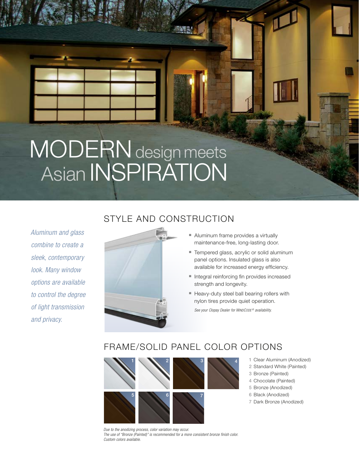## MODERN design meets Asian INSPIRATION

*Aluminum and glass combine to create a sleek, contemporary look. Many window options are available to control the degree of light transmission and privacy.*

### STYLE AND CONSTRUCTION



#### ■ Aluminum frame provides a virtually maintenance-free, long-lasting door.

- Tempered glass, acrylic or solid aluminum panel options. Insulated glass is also available for increased energy efficiency.
- Integral reinforcing fin provides increased strength and longevity.
- Heavy-duty steel ball bearing rollers with nylon tires provide quiet operation.

*See your Clopay Dealer for WINDCODE ® availability.*

#### FRAME/SOLID PANEL COLOR OPTIONS



- 1 Clear Aluminum (Anodized)
- 2 Standard White (Painted)
- 3 Bronze (Painted)
- 4 Chocolate (Painted)
- 5 Bronze (Anodized)
- 6 Black (Anodized)
- 7 Dark Bronze (Anodized)

*Due to the anodizing process, color variation may occur. The use of "Bronze (Painted)" is recommended for a more consistent bronze finish color. Custom colors available.*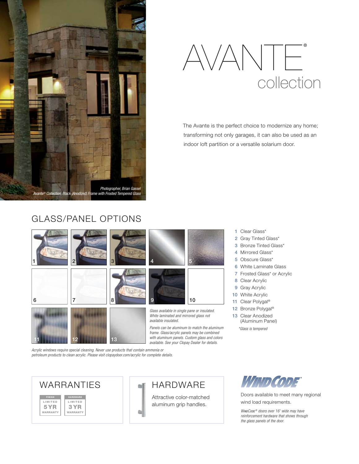



The Avante is the perfect choice to modernize any home; transforming not only garages, it can also be used as an indoor loft partition or a versatile solarium door.

> Clear Glass\* 2 Gray Tinted Glass\* Bronze Tinted Glass\* 4 Mirrored Glass\* Obscure Glass\* White Laminate Glass Frosted Glass\* or Acrylic

8 Clear Acrylic 9 Gray Acrylic 10 White Acrylic 11 Clear Polygal<sup>®</sup> 12 Bronze Polygal<sup>®</sup> 13 Clear Anodized (Aluminum Panel)

*\*Glass is tempered*

#### GLASS/PANEL OPTIONS



*Acrylic windows require special cleaning. Never use products that contain ammonia or petroleum products to clean acrylic. Please visit clopaydoor.com/acrylic for complete details.*



*available. See your Clopay Dealer for details.*

aluminum grip handles.



Doors available to meet many regional wind load requirements.

*WINDCODE ® doors over 16' wide may have reinforcement hardware that shows through the glass panels of the door.*